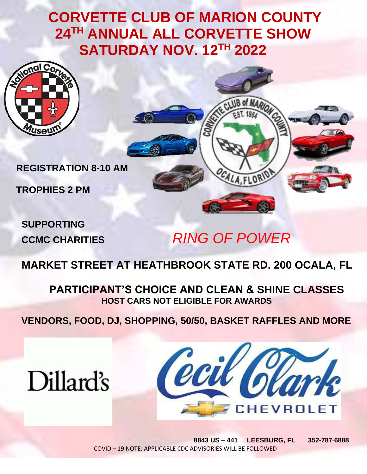## **CORVETTE CLUB OF MARION COUNTY 24TH ANNUAL ALL CORVETTE SHOW SATURDAY NOV. 12TH 2022**



**REGISTRATION 8-10 AM**

**TROPHIES 2 PM**

**SUPPORTING**

# **CCMC CHARITIES** *RING OF POWER*

FLOR

### **MARKET STREET AT HEATHBROOK STATE RD. 200 OCALA, FL**

**PARTICIPANT'S CHOICE AND CLEAN & SHINE CLASSES HOST CARS NOT ELIGIBLE FOR AWARDS**

 **VENDORS, FOOD, DJ, SHOPPING, 50/50, BASKET RAFFLES AND MORE**





 **8843 US – 441 LEESBURG, FL 352-787**-**6888** COVID – 19 NOTE: APPLICABLE CDC ADVISORIES WILL BE FOLLOWED